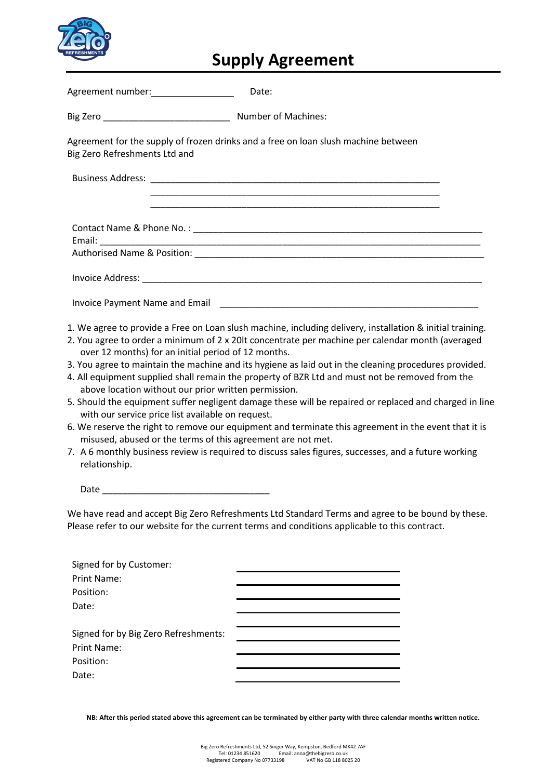

# **Supply Agreement**

Agreement number: Date:

Big Zero **Big Zero Number of Machines:** 

Agreement for the supply of frozen drinks and a free on loan slush machine between Big Zero Refreshments Ltd and

Business Address:

 \_\_\_\_\_\_\_\_\_\_\_\_\_\_\_\_\_\_\_\_\_\_\_\_\_\_\_\_\_\_\_\_\_\_\_\_\_\_\_\_\_\_\_\_\_\_\_\_\_\_\_\_\_\_\_\_\_ \_\_\_\_\_\_\_\_\_\_\_\_\_\_\_\_\_\_\_\_\_\_\_\_\_\_\_\_\_\_\_\_\_\_\_\_\_\_\_\_\_\_\_\_\_\_\_\_\_\_\_\_\_\_\_\_\_

| Contact Name & Phone No.: |  |
|---------------------------|--|
| Email:                    |  |

Authorised Name & Position: **We are all that** 

Invoice Address:

Invoice Payment Name and Email **Example 20** Figure 20 Figure 20 Figure 20 Figure 20 Figure 20 Figure 20 Figure 20

1. We agree to provide a Free on Loan slush machine, including delivery, installation & initial training.

- 2. You agree to order a minimum of 2 x 20lt concentrate per machine per calendar month (averaged over 12 months) for an initial period of 12 months.
- 3. You agree to maintain the machine and its hygiene as laid out in the cleaning procedures provided.
- 4. All equipment supplied shall remain the property of BZR Ltd and must not be removed from the above location without our prior written permission.
- 5. Should the equipment suffer negligent damage these will be repaired or replaced and charged in line with our service price list available on request.
- 6. We reserve the right to remove our equipment and terminate this agreement in the event that it is misused, abused or the terms of this agreement are not met.
- 7. A 6 monthly business review is required to discuss sales figures, successes, and a future working relationship.

 $Date$ 

We have read and accept Big Zero Refreshments Ltd Standard Terms and agree to be bound by these. Please refer to our website for the current terms and conditions applicable to this contract.

| Signed for by Customer:              |  |
|--------------------------------------|--|
| Print Name:                          |  |
| Position:                            |  |
| Date:                                |  |
|                                      |  |
| Signed for by Big Zero Refreshments: |  |
| Print Name:                          |  |
| Position:                            |  |
| Date:                                |  |
|                                      |  |

**NB: After this period stated above this agreement can be terminated by either party with three calendar months written notice.**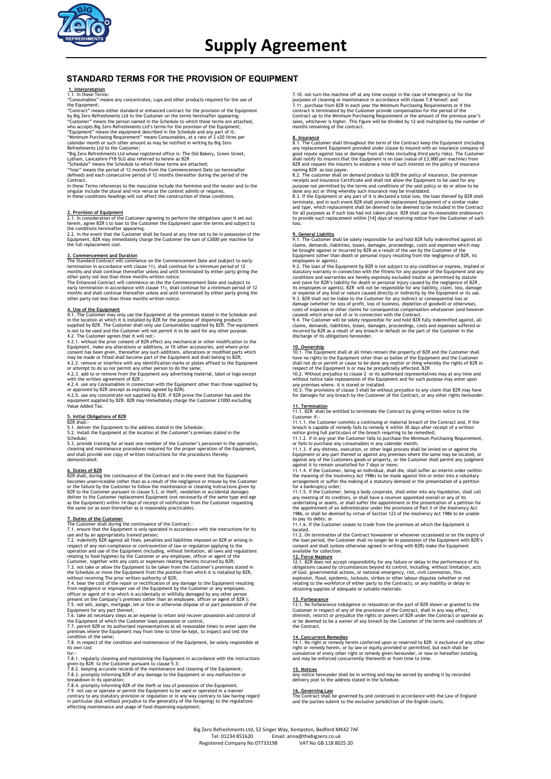

## **STANDARD TERMS FOR THE PROVISION OF EQUIPMENT**

**1. Interpretation**<br>1.1. In these Terms:<br>"Consumables" means any concentrates, cups and other products required for the use of the Equipment;

"Contract" means either standard or enhanced contract for the provision of the Equipment

by Big Zero Refreshments Ltd to the Customer on the terms hereinafter appearing;<br>"Ot Storene" means the person named in the Schedule to which these terms are attached,<br>"Customer" means the equipment described in the Schedu

Contract

In these Terms references to the masculine include the feminine and the neuter and to the singular include the plural and vice versa as the context admits or requires. In these conditions headings will not affect the construction of these conditions.

2. Provision of Equipment<br>2.1. In consideration of the Customer agreeing to perform the obligations upon it set out<br>herein, agree BZR s to loan to the Customer the Equipment upon the terms and subject to<br>the conditions her

3. Commencement and Duration<br>The Standard Contract will commence on the Commencement Date and (subject to early<br>termination in accordance with clause 11), shall continue for a minimum period of 12<br>months and shall continue

4<u>. Use of the Equipment</u><br>4.1. The Customer may only use the Equipment at the premises stated in the Schedule and<br>in the location at which it is installed by BZR for the purpose of dispensing products<br>supplied by BZR. The

4.2. The Customer agrees that it will not:<br>4.2. The Customer agrees that it will not:<br>4.2.1. without the prior consent of BZR effect any mechanical or other modification to the<br>Equipment, make any alterations or additions,

# **5. Initial Obligations of BZR** BZR shall:-

5.1. deliver the Equipment to the address stated in the Schedule; 5.2. install the Equipment at the location at the Customer's premises stated in the

Schedule;<br>5.3. provide training for at least one member of the Customer's personnel in the operation,<br>cleaning and maintenance procedures required for the proper operation of the Equipment,<br>and shall provide one copy of wr

**6. Duties of BZR** BZR shall, during the continuance of the Contract and in the event that the Equipment becomes unserviceable (other than as a result of the negligence or misuse by the Customer or the failure by the Customer to follow the maintenance or cleaning instructions given by BZR to the Customer pursuant to clause 5.3, or theft, vandalism or accidental damage)<br>deliver to the Customer replacement Equipment (not necessarily of the same type and age<br>as the Equipment) within 14 days of receipt of n

**7. Duties of the Customer shall during the continuance of the Contract:**<br>The Customer shall during the continuance of the Contract:<br> $\sim$  7.1. ensure that the Equipment is only operated in accordance with the instructions relating to food hygiene) by the Customer or any employee, officer or agent of the Customer, together with any costs or expenses relating thereto incurred by BZR;

7.3. not take or allow the Equipment to be taken from the Customer's premises stated in<br>the Schedule, or move the Equipment from the position from which it is installed by BZR,<br>7.4. bear the cost of the repair or rectific

7.8. in respect of the condition and maintenance of the Equipment, be solely responsible at

its own cost<br>for:-

for:<br>The state and maintaining the Equipment in accordance with the instructions<br>given by BZR to the Customer pursuant to clause 5.3;<br>7.8.2. keeping accurate records of the maintenance and cleaning of the Equipment;<br>7.8.3. effecting maintenance and usage of food dispensing equipment;

7.10. not turn the machine off at any time except in the case of emergency or for the purposes of cleaning or maintenance in accordance with clause 7.8 hereof; and<br>7.11. purchase from BZR in each year the Minimium Purchasing Requirements or if the<br>contract is terminated by the Customer provide compensation

**8. Insurance**<br>R. The Customer shall throughout the term of the Contract keep the Equipment (including<br>any replacement Equipment provided under clause 6) insured with an insurance company of<br>good repute against loss or dam

8.2. The customer shall on demand produce to BZR the policy of insurance, the permium speecipts and Insurance Certificate and shall not allow the Equipment to be used for any purpose not permitted by the terms and conditio

**9. General Liability** 9.1. The Customer shall be solely responsible for and hold BZR fully indemnified against all claims, demands, liabilities, losses, damages, proceedings, costs and expenses which may be brought against or incurred by BZR as a result of the use by the Customer of the Equipment (other than death or personal injury resulting from the negligence of BZR, its

employees or agents).<br>9.2. The loan of the Equipment by BZR is not subject to any condition or express, implied or 9.2. The loan of the Equipment by BZR is not subject to any condition or express, implied or<br>statutory warranty in connection with the fitness for any purpose of the Equipment and any<br>conditions and warrantsies are hereby

claims, demands, liabilities, losses, damages, proceedings, costs and expenses suffered or incurred by BZR as a result of any breach or default on the part of the Customer in the

discharge of its obligations hereunder

10. Ownership<br>
10.1. The Equipment shall at all times remain the property of BZR and the Customer shall<br>
have no rights to the Equipment other than as bailee of the Equipment and the Customer<br>
shall not do or permit or cau

11. Termination<br>11.1. BZR shall be entitled to terminate the Contract by giving written notice to the

11.1. BZR shall be entitled to terminate the Contract by giving written notice to the Customer if:-<br>Customer if:-<br>11.1.1. the Customer commits a continuing or material breach of the Contract and, if the<br>breach is capable

the meaning of the Insolvency Act 1986) to be made against him or enter into a voluntary arrangement or suffer the making of a statutory demand or the presentation of a petition

for a bankruptcy order; 11.1.5. if the Customer, being a body corporate, shall enter into any liquidation, shall call any meeting of its creditors, or shall have a receiver appointed overall or any of its<br>undertaking or assets, or shall suffer the appointment or the presentation of a petition for<br>the appointment of an Administrator under

located.<br>11.2. On termination of the Contract howsoever or whenever occasioned or on the expiry of<br>the loan period, the Customer shall no longer be in possession of the Equipment with BZR's<br>consent and shall (unless otherw

12. Force Maieure concept responsibility for any failure or delay in the performance of its  $21.7$ . BZR does not accept responsibility for any failure or delay, without limitation, acts of God, governmental actions, or na

13. Forbearance<br>13.1. No forbearance indulgence or relaxation on the part of BZR shown or granted to the<br>Customer in respect of any of the provisions of the Contract, shall in any way effect,<br>diminish, restrict or prejudic

14. Concurrent Remedies<br>14.1. No right or remedy herein conferred upon or reserved to BZR is exclusive of any other<br>right or remedy herein, or by law or equity provided or permitted, but each shall be<br>cumulative of every o

**15. Notices** Any notice hereunder shall be in writing and may be served by sending it by recorded delivery post to the address stated in the Schedule.

**16. Governing Law** The Contract shall be governed by and construed in accordance with the Law of England and the parties submit to the exclusive jurisdiction of the English courts.

Big Zero Refreshments Ltd, 52 Singer Way, Kempston, Bedford MK42 7AF<br>Tel: 01234 851620 Fmail: anna@thebigzero.co.uk Tel: 01234 851620 Email: anna@thebigzero.co.uk Registered Company No 07733198